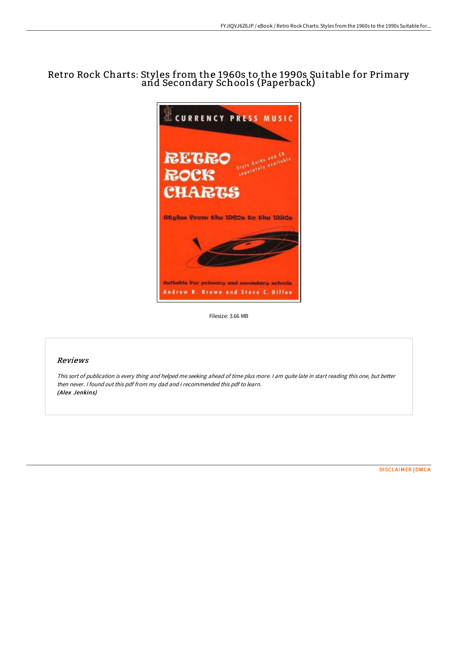# Retro Rock Charts: Styles from the 1960s to the 1990s Suitable for Primary and Secondary Schools (Paperback)



Filesize: 3.66 MB

# Reviews

This sort of publication is every thing and helped me seeking ahead of time plus more. <sup>I</sup> am quite late in start reading this one, but better then never. I found out this pdf from my dad and i recommended this pdf to learn. (Alex Jenkins)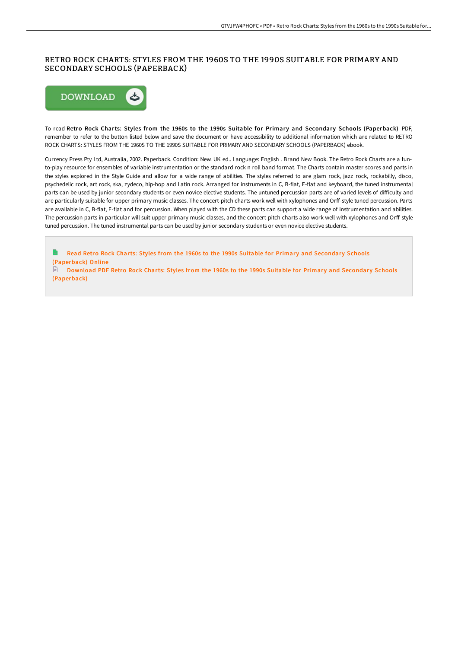## RETRO ROCK CHARTS: STYLES FROM THE 1960S TO THE 1990S SUITABLE FOR PRIMARY AND SECONDARY SCHOOLS (PAPERBACK)



To read Retro Rock Charts: Styles from the 1960s to the 1990s Suitable for Primary and Secondary Schools (Paperback) PDF, remember to refer to the button listed below and save the document or have accessibility to additional information which are related to RETRO ROCK CHARTS: STYLES FROM THE 1960S TO THE 1990S SUITABLE FOR PRIMARY AND SECONDARY SCHOOLS (PAPERBACK) ebook.

Currency Press Pty Ltd, Australia, 2002. Paperback. Condition: New. UK ed.. Language: English . Brand New Book. The Retro Rock Charts are a funto-play resource for ensembles of variable instrumentation or the standard rock n roll band format. The Charts contain master scores and parts in the styles explored in the Style Guide and allow for a wide range of abilities. The styles referred to are glam rock, jazz rock, rockabilly, disco, psychedelic rock, art rock, ska, zydeco, hip-hop and Latin rock. Arranged for instruments in C, B-flat, E-flat and keyboard, the tuned instrumental parts can be used by junior secondary students or even novice elective students. The untuned percussion parts are of varied levels of difficulty and are particularly suitable for upper primary music classes. The concert-pitch charts work well with xylophones and Orff-style tuned percussion. Parts are available in C, B-flat, E-flat and for percussion. When played with the CD these parts can support a wide range of instrumentation and abilities. The percussion parts in particular will suit upper primary music classes, and the concert-pitch charts also work well with xylophones and OrE-style tuned percussion. The tuned instrumental parts can be used by junior secondary students or even novice elective students.

e Read Retro Rock Charts: Styles from the 1960s to the 1990s Suitable for Primary and Secondary Schools [\(Paperback\)](http://techno-pub.tech/retro-rock-charts-styles-from-the-1960s-to-the-1.html) Online

 $\Box$  Download PDF Retro Rock Charts: Styles from the 1960s to the 1990s Suitable for Primary and Secondary Schools [\(Paperback\)](http://techno-pub.tech/retro-rock-charts-styles-from-the-1960s-to-the-1.html)